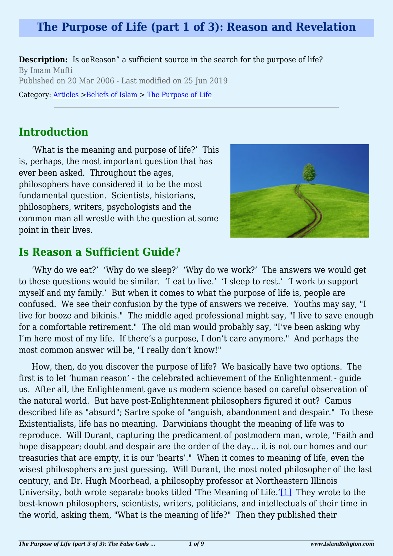## **The Purpose of Life (part 1 of 3): Reason and Revelation**

**Description:** Is oeReason" a sufficient source in the search for the purpose of life? By Imam Mufti Published on 20 Mar 2006 - Last modified on 25 Jun 2019

Category: [Articles](http://www.islamreligion.com/articles/) >[Beliefs of Islam](http://www.islamreligion.com/category/48/) > [The Purpose of Life](http://www.islamreligion.com/category/52/)

## **Introduction**

'What is the meaning and purpose of life?' This is, perhaps, the most important question that has ever been asked. Throughout the ages, philosophers have considered it to be the most fundamental question. Scientists, historians, philosophers, writers, psychologists and the common man all wrestle with the question at some point in their lives.



### **Is Reason a Sufficient Guide?**

'Why do we eat?' 'Why do we sleep?' 'Why do we work?' The answers we would get to these questions would be similar. 'I eat to live.' 'I sleep to rest.' 'I work to support myself and my family.' But when it comes to what the purpose of life is, people are confused. We see their confusion by the type of answers we receive. Youths may say, "I live for booze and bikinis." The middle aged professional might say, "I live to save enough for a comfortable retirement." The old man would probably say, "I've been asking why I'm here most of my life. If there's a purpose, I don't care anymore." And perhaps the most common answer will be, "I really don't know!"

<span id="page-0-0"></span>How, then, do you discover the purpose of life? We basically have two options. The first is to let 'human reason' - the celebrated achievement of the Enlightenment - guide us. After all, the Enlightenment gave us modern science based on careful observation of the natural world. But have post-Enlightenment philosophers figured it out? Camus described life as "absurd"; Sartre spoke of "anguish, abandonment and despair." To these Existentialists, life has no meaning. Darwinians thought the meaning of life was to reproduce. Will Durant, capturing the predicament of postmodern man, wrote, "Faith and hope disappear; doubt and despair are the order of the day… it is not our homes and our treasuries that are empty, it is our 'hearts'." When it comes to meaning of life, even the wisest philosophers are just guessing. Will Durant, the most noted philosopher of the last century, and Dr. Hugh Moorhead, a philosophy professor at Northeastern Illinois University, both wrote separate books titled 'The Meaning of Life.['\[1\]](#page-2-0) They wrote to the best-known philosophers, scientists, writers, politicians, and intellectuals of their time in the world, asking them, "What is the meaning of life?" Then they published their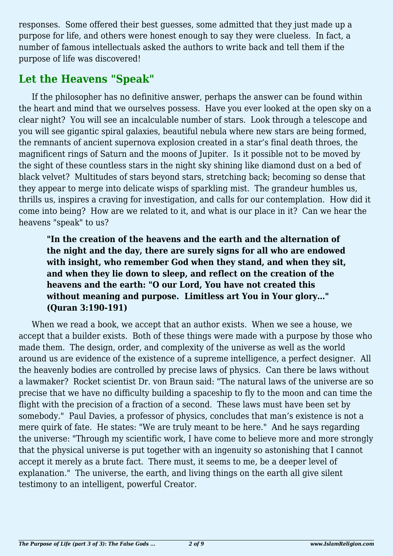responses. Some offered their best guesses, some admitted that they just made up a purpose for life, and others were honest enough to say they were clueless. In fact, a number of famous intellectuals asked the authors to write back and tell them if the purpose of life was discovered!

# **Let the Heavens "Speak"**

If the philosopher has no definitive answer, perhaps the answer can be found within the heart and mind that we ourselves possess. Have you ever looked at the open sky on a clear night? You will see an incalculable number of stars. Look through a telescope and you will see gigantic spiral galaxies, beautiful nebula where new stars are being formed, the remnants of ancient supernova explosion created in a star's final death throes, the magnificent rings of Saturn and the moons of Jupiter. Is it possible not to be moved by the sight of these countless stars in the night sky shining like diamond dust on a bed of black velvet? Multitudes of stars beyond stars, stretching back; becoming so dense that they appear to merge into delicate wisps of sparkling mist. The grandeur humbles us, thrills us, inspires a craving for investigation, and calls for our contemplation. How did it come into being? How are we related to it, and what is our place in it? Can we hear the heavens "speak" to us?

**"In the creation of the heavens and the earth and the alternation of the night and the day, there are surely signs for all who are endowed with insight, who remember God when they stand, and when they sit, and when they lie down to sleep, and reflect on the creation of the heavens and the earth: "O our Lord, You have not created this without meaning and purpose. Limitless art You in Your glory…" (Quran 3:190-191)**

When we read a book, we accept that an author exists. When we see a house, we accept that a builder exists. Both of these things were made with a purpose by those who made them. The design, order, and complexity of the universe as well as the world around us are evidence of the existence of a supreme intelligence, a perfect designer. All the heavenly bodies are controlled by precise laws of physics. Can there be laws without a lawmaker? Rocket scientist Dr. von Braun said: "The natural laws of the universe are so precise that we have no difficulty building a spaceship to fly to the moon and can time the flight with the precision of a fraction of a second. These laws must have been set by somebody." Paul Davies, a professor of physics, concludes that man's existence is not a mere quirk of fate. He states: "We are truly meant to be here." And he says regarding the universe: "Through my scientific work, I have come to believe more and more strongly that the physical universe is put together with an ingenuity so astonishing that I cannot accept it merely as a brute fact. There must, it seems to me, be a deeper level of explanation." The universe, the earth, and living things on the earth all give silent testimony to an intelligent, powerful Creator.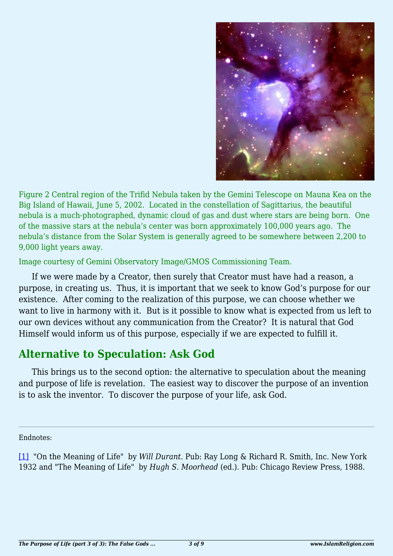

Figure 2 Central region of the Trifid Nebula taken by the Gemini Telescope on Mauna Kea on the Big Island of Hawaii, June 5, 2002. Located in the constellation of Sagittarius, the beautiful nebula is a much-photographed, dynamic cloud of gas and dust where stars are being born. One of the massive stars at the nebula's center was born approximately 100,000 years ago. The nebula's distance from the Solar System is generally agreed to be somewhere between 2,200 to 9,000 light years away.

Image courtesy of Gemini Observatory Image/GMOS Commissioning Team.

If we were made by a Creator, then surely that Creator must have had a reason, a purpose, in creating us. Thus, it is important that we seek to know God's purpose for our existence. After coming to the realization of this purpose, we can choose whether we want to live in harmony with it. But is it possible to know what is expected from us left to our own devices without any communication from the Creator? It is natural that God Himself would inform us of this purpose, especially if we are expected to fulfill it.

### **Alternative to Speculation: Ask God**

This brings us to the second option: the alternative to speculation about the meaning and purpose of life is revelation. The easiest way to discover the purpose of an invention is to ask the inventor. To discover the purpose of your life, ask God.

<span id="page-2-0"></span>Endnotes:

[\[1\]](#page-0-0) "On the Meaning of Life" by *Will Durant*. Pub: Ray Long & Richard R. Smith, Inc. New York 1932 and "The Meaning of Life" by *Hugh S. Moorhead* (ed.). Pub: Chicago Review Press, 1988.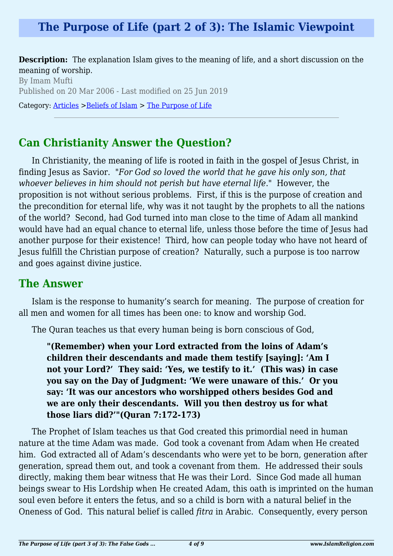## **The Purpose of Life (part 2 of 3): The Islamic Viewpoint**

**Description:** The explanation Islam gives to the meaning of life, and a short discussion on the meaning of worship.

By Imam Mufti Published on 20 Mar 2006 - Last modified on 25 Jun 2019 Category: [Articles](http://www.islamreligion.com/articles/) >[Beliefs of Islam](http://www.islamreligion.com/category/48/) > [The Purpose of Life](http://www.islamreligion.com/category/52/)

### **Can Christianity Answer the Question?**

In Christianity, the meaning of life is rooted in faith in the gospel of Jesus Christ, in finding Jesus as Savior. "*For God so loved the world that he gave his only son, that whoever believes in him should not perish but have eternal life*." However, the proposition is not without serious problems. First, if this is the purpose of creation and the precondition for eternal life, why was it not taught by the prophets to all the nations of the world? Second, had God turned into man close to the time of Adam all mankind would have had an equal chance to eternal life, unless those before the time of Jesus had another purpose for their existence! Third, how can people today who have not heard of Jesus fulfill the Christian purpose of creation? Naturally, such a purpose is too narrow and goes against divine justice.

### **The Answer**

Islam is the response to humanity's search for meaning. The purpose of creation for all men and women for all times has been one: to know and worship God.

The Quran teaches us that every human being is born conscious of God,

**"(Remember) when your Lord extracted from the loins of Adam's children their descendants and made them testify [saying]: 'Am I not your Lord?' They said: 'Yes, we testify to it.' (This was) in case you say on the Day of Judgment: 'We were unaware of this.' Or you say: 'It was our ancestors who worshipped others besides God and we are only their descendants. Will you then destroy us for what those liars did?'"(Quran 7:172-173)**

The Prophet of Islam teaches us that God created this primordial need in human nature at the time Adam was made. God took a covenant from Adam when He created him. God extracted all of Adam's descendants who were yet to be born, generation after generation, spread them out, and took a covenant from them. He addressed their souls directly, making them bear witness that He was their Lord. Since God made all human beings swear to His Lordship when He created Adam, this oath is imprinted on the human soul even before it enters the fetus, and so a child is born with a natural belief in the Oneness of God. This natural belief is called *fitra* in Arabic. Consequently, every person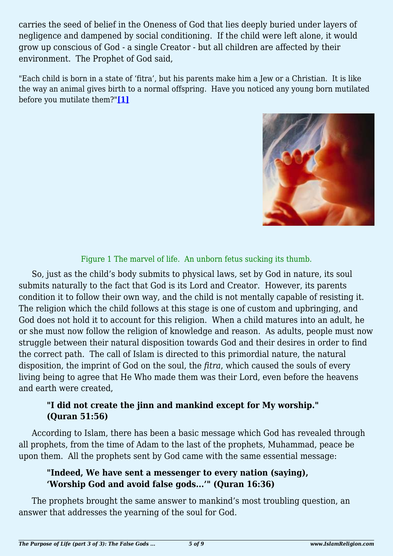carries the seed of belief in the Oneness of God that lies deeply buried under layers of negligence and dampened by social conditioning. If the child were left alone, it would grow up conscious of God - a single Creator - but all children are affected by their environment. The Prophet of God said,

<span id="page-4-0"></span>"Each child is born in a state of 'fitra', but his parents make him a Jew or a Christian. It is like the way an animal gives birth to a normal offspring. Have you noticed any young born mutilated before you mutilate them?"**[\[1\]](#page-5-0)**



Figure 1 The marvel of life. An unborn fetus sucking its thumb.

So, just as the child's body submits to physical laws, set by God in nature, its soul submits naturally to the fact that God is its Lord and Creator. However, its parents condition it to follow their own way, and the child is not mentally capable of resisting it. The religion which the child follows at this stage is one of custom and upbringing, and God does not hold it to account for this religion. When a child matures into an adult, he or she must now follow the religion of knowledge and reason. As adults, people must now struggle between their natural disposition towards God and their desires in order to find the correct path. The call of Islam is directed to this primordial nature, the natural disposition, the imprint of God on the soul, the *fitra*, which caused the souls of every living being to agree that He Who made them was their Lord, even before the heavens and earth were created,

### **"I did not create the jinn and mankind except for My worship." (Quran 51:56)**

According to Islam, there has been a basic message which God has revealed through all prophets, from the time of Adam to the last of the prophets, Muhammad, peace be upon them. All the prophets sent by God came with the same essential message:

### **"Indeed, We have sent a messenger to every nation (saying), 'Worship God and avoid false gods...'" (Quran 16:36)**

The prophets brought the same answer to mankind's most troubling question, an answer that addresses the yearning of the soul for God.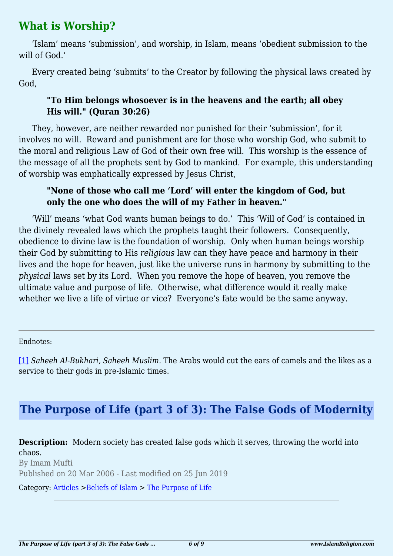### **What is Worship?**

'Islam' means 'submission', and worship, in Islam, means 'obedient submission to the will of God.'

Every created being 'submits' to the Creator by following the physical laws created by God,

### **"To Him belongs whosoever is in the heavens and the earth; all obey His will." (Quran 30:26)**

They, however, are neither rewarded nor punished for their 'submission', for it involves no will. Reward and punishment are for those who worship God, who submit to the moral and religious Law of God of their own free will. This worship is the essence of the message of all the prophets sent by God to mankind. For example, this understanding of worship was emphatically expressed by Jesus Christ,

#### **"None of those who call me 'Lord' will enter the kingdom of God, but only the one who does the will of my Father in heaven."**

'Will' means 'what God wants human beings to do.' This 'Will of God' is contained in the divinely revealed laws which the prophets taught their followers. Consequently, obedience to divine law is the foundation of worship. Only when human beings worship their God by submitting to His *religious* law can they have peace and harmony in their lives and the hope for heaven, just like the universe runs in harmony by submitting to the *physical* laws set by its Lord. When you remove the hope of heaven, you remove the ultimate value and purpose of life. Otherwise, what difference would it really make whether we live a life of virtue or vice? Everyone's fate would be the same anyway.

Endnotes:

<span id="page-5-0"></span>[\[1\]](#page-4-0) *Saheeh Al-Bukhari, Saheeh Muslim.* The Arabs would cut the ears of camels and the likes as a service to their gods in pre-Islamic times.

# **The Purpose of Life (part 3 of 3): The False Gods of Modernity**

**Description:** Modern society has created false gods which it serves, throwing the world into chaos.

By Imam Mufti Published on 20 Mar 2006 - Last modified on 25 Jun 2019

Category: [Articles](http://www.islamreligion.com/articles/) >[Beliefs of Islam](http://www.islamreligion.com/category/48/) > [The Purpose of Life](http://www.islamreligion.com/category/52/)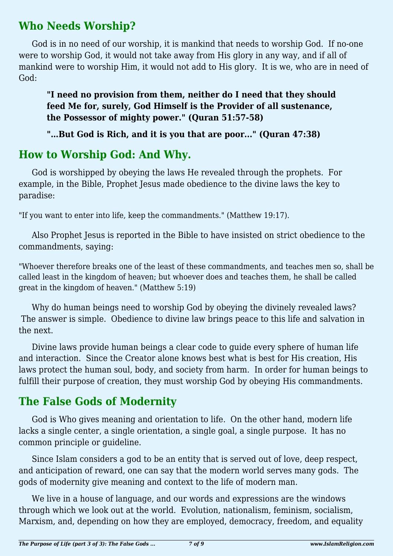### **Who Needs Worship?**

God is in no need of our worship, it is mankind that needs to worship God. If no-one were to worship God, it would not take away from His glory in any way, and if all of mankind were to worship Him, it would not add to His glory. It is we, who are in need of God:

**"I need no provision from them, neither do I need that they should feed Me for, surely, God Himself is the Provider of all sustenance, the Possessor of mighty power." (Quran 51:57-58)**

**"…But God is Rich, and it is you that are poor..." (Quran 47:38)**

# **How to Worship God: And Why.**

God is worshipped by obeying the laws He revealed through the prophets. For example, in the Bible, Prophet Jesus made obedience to the divine laws the key to paradise:

"If you want to enter into life, keep the commandments." (Matthew 19:17).

Also Prophet Jesus is reported in the Bible to have insisted on strict obedience to the commandments, saying:

"Whoever therefore breaks one of the least of these commandments, and teaches men so, shall be called least in the kingdom of heaven; but whoever does and teaches them, he shall be called great in the kingdom of heaven." (Matthew 5:19)

Why do human beings need to worship God by obeying the divinely revealed laws? The answer is simple. Obedience to divine law brings peace to this life and salvation in the next.

Divine laws provide human beings a clear code to guide every sphere of human life and interaction. Since the Creator alone knows best what is best for His creation, His laws protect the human soul, body, and society from harm. In order for human beings to fulfill their purpose of creation, they must worship God by obeying His commandments.

# **The False Gods of Modernity**

God is Who gives meaning and orientation to life. On the other hand, modern life lacks a single center, a single orientation, a single goal, a single purpose. It has no common principle or guideline.

Since Islam considers a god to be an entity that is served out of love, deep respect, and anticipation of reward, one can say that the modern world serves many gods. The gods of modernity give meaning and context to the life of modern man.

We live in a house of language, and our words and expressions are the windows through which we look out at the world. Evolution, nationalism, feminism, socialism, Marxism, and, depending on how they are employed, democracy, freedom, and equality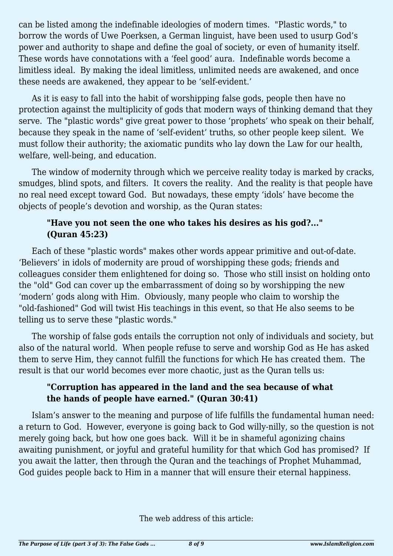can be listed among the indefinable ideologies of modern times. "Plastic words," to borrow the words of Uwe Poerksen, a German linguist, have been used to usurp God's power and authority to shape and define the goal of society, or even of humanity itself. These words have connotations with a 'feel good' aura. Indefinable words become a limitless ideal. By making the ideal limitless, unlimited needs are awakened, and once these needs are awakened, they appear to be 'self-evident.'

As it is easy to fall into the habit of worshipping false gods, people then have no protection against the multiplicity of gods that modern ways of thinking demand that they serve. The "plastic words" give great power to those 'prophets' who speak on their behalf, because they speak in the name of 'self-evident' truths, so other people keep silent. We must follow their authority; the axiomatic pundits who lay down the Law for our health, welfare, well-being, and education.

The window of modernity through which we perceive reality today is marked by cracks, smudges, blind spots, and filters. It covers the reality. And the reality is that people have no real need except toward God. But nowadays, these empty 'idols' have become the objects of people's devotion and worship, as the Quran states:

#### **"Have you not seen the one who takes his desires as his god?..." (Quran 45:23)**

Each of these "plastic words" makes other words appear primitive and out-of-date. 'Believers' in idols of modernity are proud of worshipping these gods; friends and colleagues consider them enlightened for doing so. Those who still insist on holding onto the "old" God can cover up the embarrassment of doing so by worshipping the new 'modern' gods along with Him. Obviously, many people who claim to worship the "old-fashioned" God will twist His teachings in this event, so that He also seems to be telling us to serve these "plastic words."

The worship of false gods entails the corruption not only of individuals and society, but also of the natural world. When people refuse to serve and worship God as He has asked them to serve Him, they cannot fulfill the functions for which He has created them. The result is that our world becomes ever more chaotic, just as the Quran tells us:

#### **"Corruption has appeared in the land and the sea because of what the hands of people have earned." (Quran 30:41)**

Islam's answer to the meaning and purpose of life fulfills the fundamental human need: a return to God. However, everyone is going back to God willy-nilly, so the question is not merely going back, but how one goes back. Will it be in shameful agonizing chains awaiting punishment, or joyful and grateful humility for that which God has promised? If you await the latter, then through the Quran and the teachings of Prophet Muhammad, God guides people back to Him in a manner that will ensure their eternal happiness.

The web address of this article: